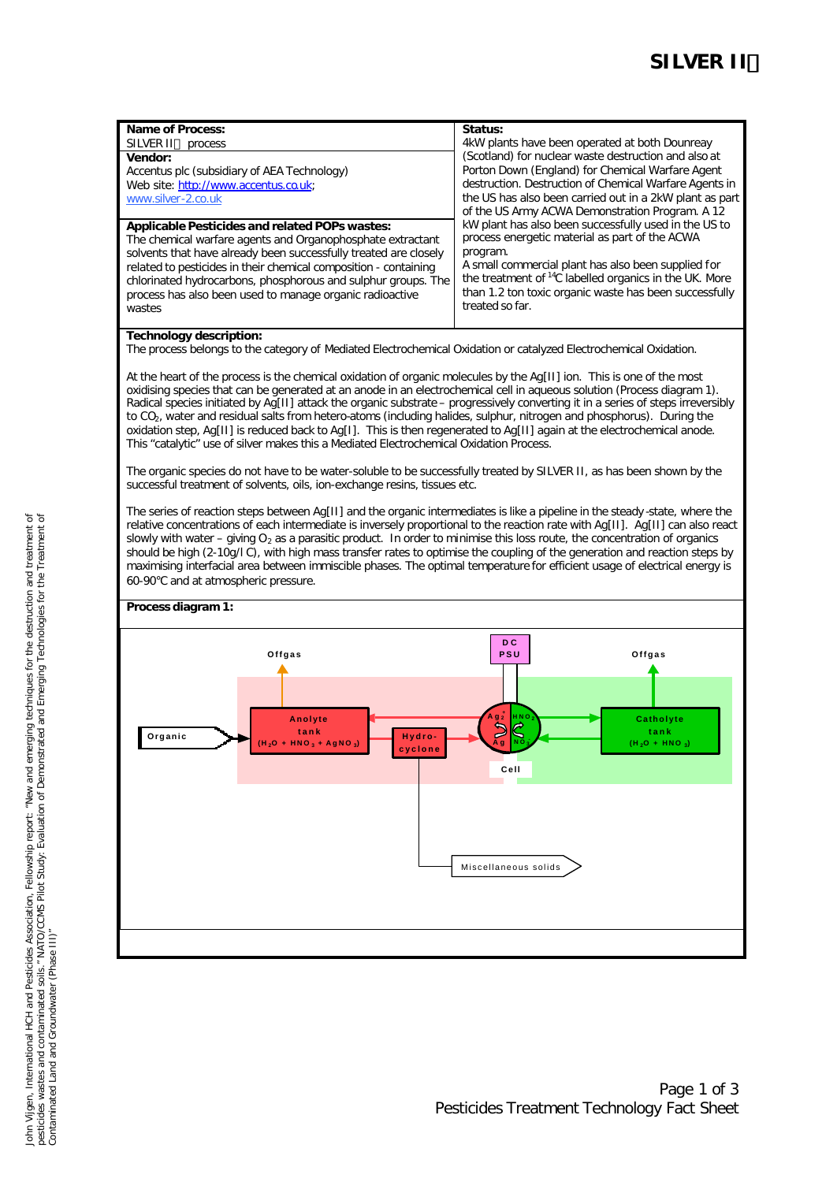| <b>Name of Process:</b>                                                                                   | Status:                                                                                                                                                                                                                  |  |  |
|-----------------------------------------------------------------------------------------------------------|--------------------------------------------------------------------------------------------------------------------------------------------------------------------------------------------------------------------------|--|--|
| SILVER II™ process                                                                                        | 4kW plants have been operated at both Dounreay                                                                                                                                                                           |  |  |
| Vendor:                                                                                                   | (Scotland) for nuclear waste destruction and also at                                                                                                                                                                     |  |  |
| Accentus plc (subsidiary of AEA Technology)<br>Web site: http://www.accentus.co.uk;<br>www.silver-2.co.uk | Porton Down (England) for Chemical Warfare Agent<br>destruction. Destruction of Chemical Warfare Agents in<br>the US has also been carried out in a 2kW plant as part<br>of the US Army ACWA Demonstration Program. A 12 |  |  |
| Applicable Pesticides and related POPs wastes:                                                            | kW plant has also been successfully used in the US to                                                                                                                                                                    |  |  |
| The chemical warfare agents and Organophosphate extractant                                                | process energetic material as part of the ACWA                                                                                                                                                                           |  |  |
| solvents that have already been successfully treated are closely                                          | program.                                                                                                                                                                                                                 |  |  |
| related to pesticides in their chemical composition - containing                                          | A small commercial plant has also been supplied for                                                                                                                                                                      |  |  |
| chlorinated hydrocarbons, phosphorous and sulphur groups. The                                             | the treatment of <sup>14</sup> C labelled organics in the UK. More                                                                                                                                                       |  |  |
| process has also been used to manage organic radioactive                                                  | than 1.2 ton toxic organic waste has been successfully                                                                                                                                                                   |  |  |
| wastes                                                                                                    | treated so far.                                                                                                                                                                                                          |  |  |

## **Technology description:**

The process belongs to the category of Mediated Electrochemical Oxidation or catalyzed Electrochemical Oxidation.

At the heart of the process is the chemical oxidation of organic molecules by the Ag[II] ion. This is one of the most oxidising species that can be generated at an anode in an electrochemical cell in aqueous solution (Process diagram 1). Radical species initiated by Ag[II] attack the organic substrate – progressively converting it in a series of steps irreversibly to CO<sub>2</sub>, water and residual salts from hetero-atoms (including halides, sulphur, nitrogen and phosphorus). During the oxidation step, Ag[II] is reduced back to Ag[I]. This is then regenerated to Ag[II] again at the electrochemical anode. This "catalytic" use of silver makes this a Mediated Electrochemical Oxidation Process.

The organic species do not have to be water-soluble to be successfully treated by SILVER II, as has been shown by the successful treatment of solvents, oils, ion-exchange resins, tissues etc.

The series of reaction steps between Ag[II] and the organic intermediates is like a pipeline in the steady -state, where the relative concentrations of each intermediate is inversely proportional to the reaction rate with Ag[II]. Ag[II] can also react slowly with water – giving  $O_2$  as a parasitic product. In order to minimise this loss route, the concentration of organics should be high (2-10g/l C), with high mass transfer rates to optimise the coupling of the generation and reaction steps by maximising interfacial area between immiscible phases. The optimal temperature for efficient usage of electrical energy is 60-90°C and at atmospheric pressure.

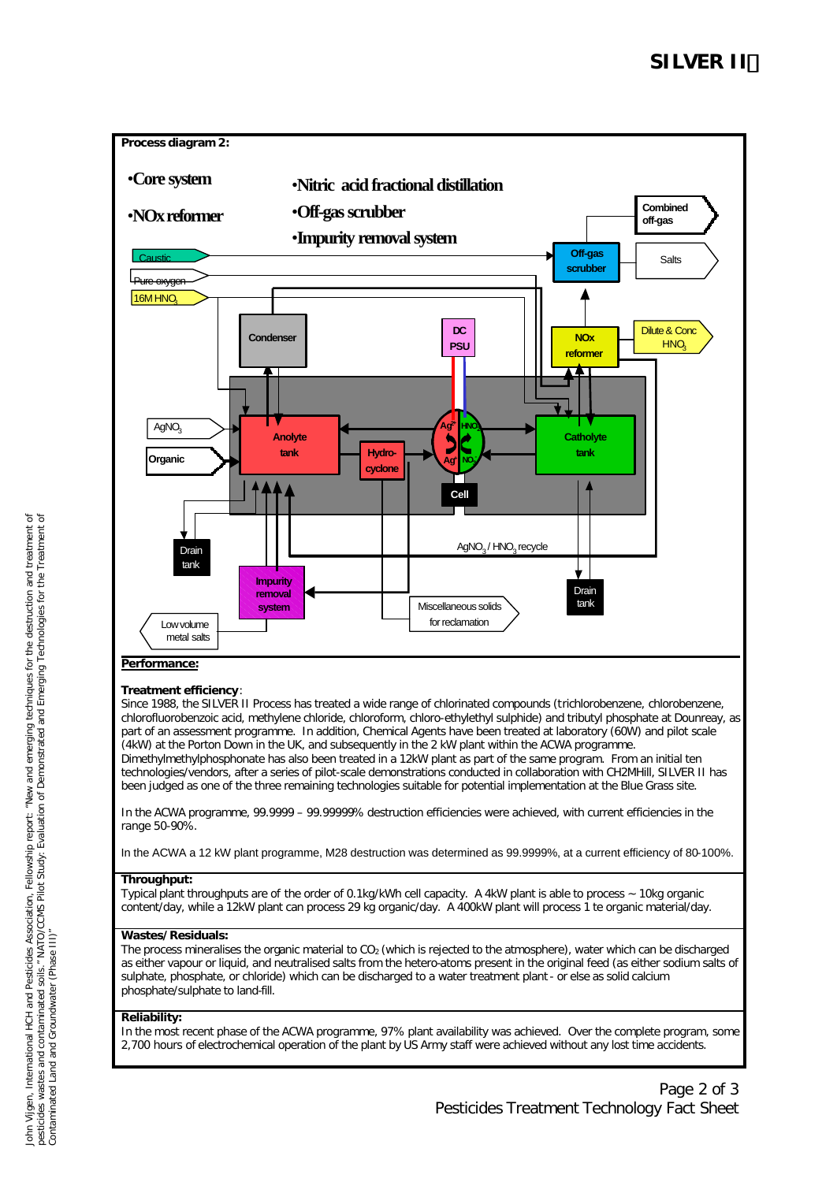

(4kW) at the Porton Down in the UK, and subsequently in the 2 kW plant within the ACWA programme. Dimethylmethylphosphonate has also been treated in a 12kW plant as part of the same program. From an initial ten technologies/vendors, after a series of pilot-scale demonstrations conducted in collaboration with CH2MHill, SILVER II has been judged as one of the three remaining technologies suitable for potential implementation at the Blue Grass site.

In the ACWA programme, 99.9999 – 99.99999% destruction efficiencies were achieved, with current efficiencies in the range 50-90%.

In the ACWA a 12 kW plant programme, M28 destruction was determined as 99.9999%, at a current efficiency of 80-100%.

# **Throughput:**

Typical plant throughputs are of the order of 0.1kg/kWh cell capacity. A 4kW plant is able to process ~ 10kg organic content/day, while a 12kW plant can process 29 kg organic/day. A 400kW plant will process 1 te organic material/day.

# **Wastes/Residuals:**

The process mineralises the organic material to  $CO<sub>2</sub>$  (which is rejected to the atmosphere), water which can be discharged as either vapour or liquid, and neutralised salts from the hetero-atoms present in the original feed (as either sodium salts of sulphate, phosphate, or chloride) which can be discharged to a water treatment plant - or else as solid calcium phosphate/sulphate to land-fill.

# **Reliability:**

In the most recent phase of the ACWA programme, 97% plant availability was achieved. Over the complete program, some 2,700 hours of electrochemical operation of the plant by US Army staff were achieved without any lost time accidents.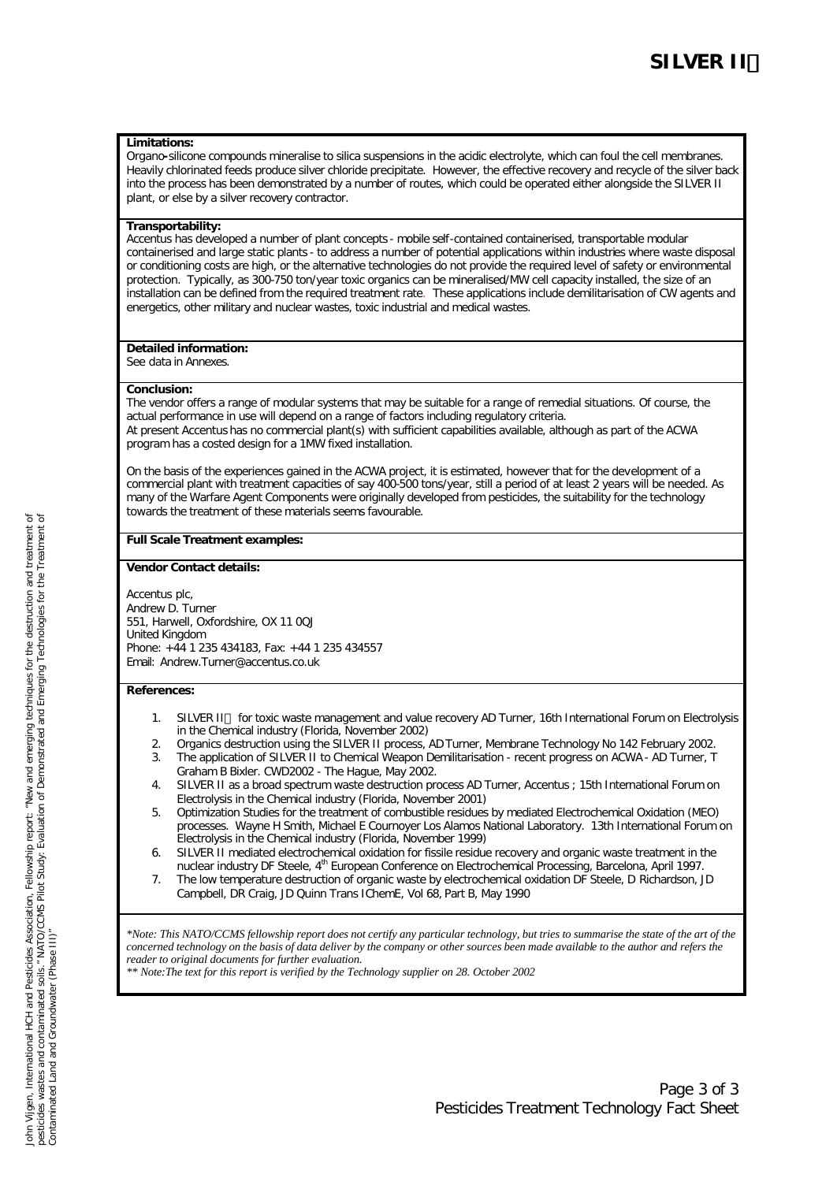## **Limitations:**

Organo**-**silicone compounds mineralise to silica suspensions in the acidic electrolyte, which can foul the cell membranes. Heavily chlorinated feeds produce silver chloride precipitate. However, the effective recovery and recycle of the silver back into the process has been demonstrated by a number of routes, which could be operated either alongside the SILVER II plant, or else by a silver recovery contractor.

## **Transportability:**

Accentus has developed a number of plant concepts - mobile self-contained containerised, transportable modular containerised and large static plants - to address a number of potential applications within industries where waste disposal or conditioning costs are high, or the alternative technologies do not provide the required level of safety or environmental protection. Typically, as 300-750 ton/year toxic organics can be mineralised/MW cell capacity installed, the size of an installation can be defined from the required treatment rate. These applications include demilitarisation of CW agents and energetics, other military and nuclear wastes, toxic industrial and medical wastes.

# **Detailed information:**

See data in Annexes.

#### **Conclusion:**

The vendor offers a range of modular systems that may be suitable for a range of remedial situations. Of course, the actual performance in use will depend on a range of factors including regulatory criteria. At present Accentus has no commercial plant(s) with sufficient capabilities available, although as part of the ACWA program has a costed design for a 1MW fixed installation.

On the basis of the experiences gained in the ACWA project, it is estimated, however that for the development of a commercial plant with treatment capacities of say 400-500 tons/year, still a period of at least 2 years will be needed. As many of the Warfare Agent Components were originally developed from pesticides, the suitability for the technology towards the treatment of these materials seems favourable.

#### **Full Scale Treatment examples:**

#### **Vendor Contact details:**

Accentus plc, Andrew D. Turner 551, Harwell, Oxfordshire, OX 11 0QJ United Kingdom Phone: +44 1 235 434183, Fax: +44 1 235 434557 Email: Andrew.Turner@accentus.co.uk

#### **References:**

- 1. SILVER II™ for toxic waste management and value recovery AD Turner, 16th International Forum on Electrolysis in the Chemical industry (Florida, November 2002)
- 2. Organics destruction using the SILVER II process, AD Turner, Membrane Technology No 142 February 2002.
- 3. The application of SILVER II to Chemical Weapon Demilitarisation recent progress on ACWA AD Turner, T Graham B Bixler. CWD2002 - The Hague, May 2002.
- 4. SILVER II as a broad spectrum waste destruction process AD Turner, Accentus ; 15th International Forum on Electrolysis in the Chemical industry (Florida, November 2001)
- 5. Optimization Studies for the treatment of combustible residues by mediated Electrochemical Oxidation (MEO) processes. Wayne H Smith, Michael E Cournoyer Los Alamos National Laboratory. 13th International Forum on Electrolysis in the Chemical industry (Florida, November 1999)
- 6. SILVER II mediated electrochemical oxidation for fissile residue recovery and organic waste treatment in the nuclear industry DF Steele, 4<sup>th</sup> European Conference on Electrochemical Processing, Barcelona, April 1997.
- 7. The low temperature destruction of organic waste by electrochemical oxidation DF Steele, D Richardson, JD Campbell, DR Craig, JD Quinn Trans IChemE, Vol 68, Part B, May 1990

*\*Note: This NATO/CCMS fellowship report does not certify any particular technology, but tries to summarise the state of the art of the concerned technology on the basis of data deliver by the company or other sources been made available to the author and refers the reader to original documents for further evaluation.*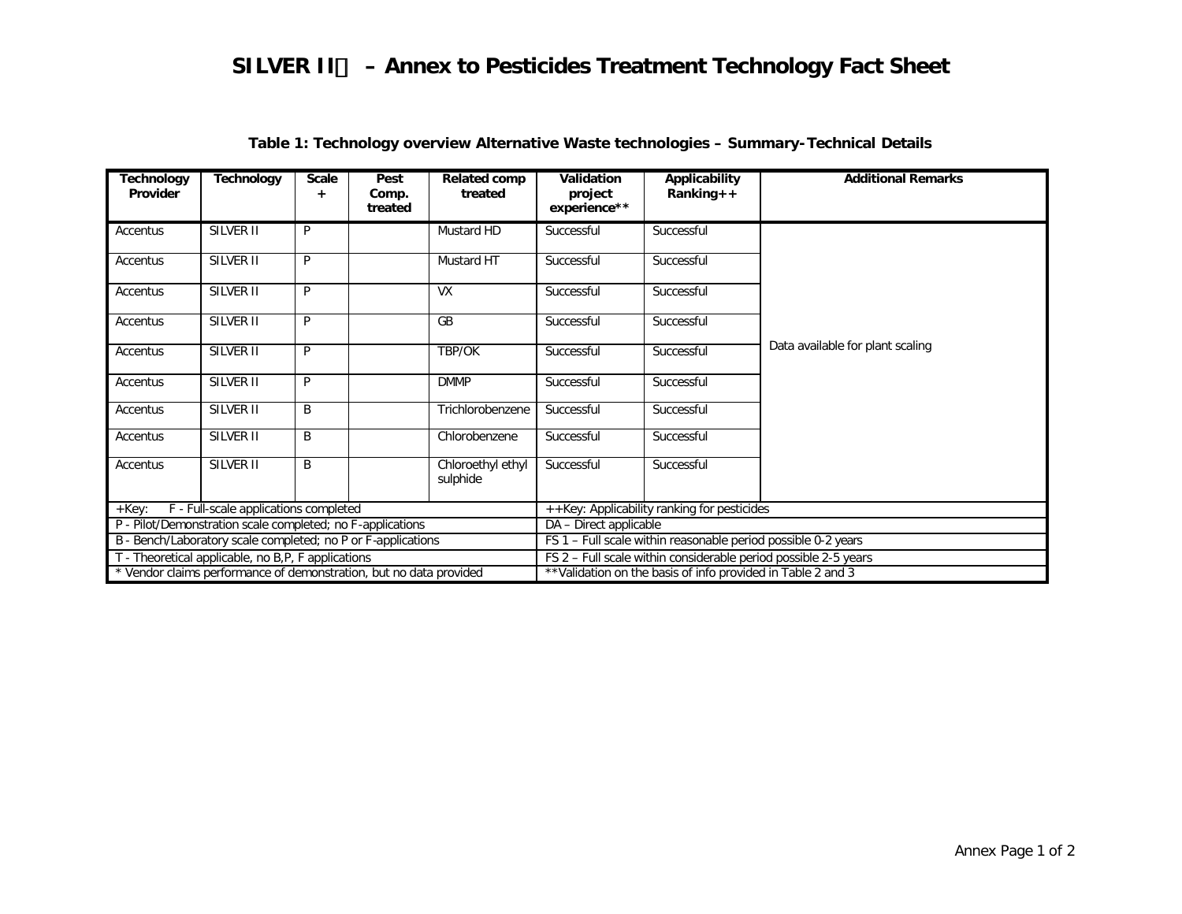| <b>Technology</b><br>Provider                                      | <b>Technology</b> | <b>Scale</b> | Pest<br>Comp.<br>treated                                        | <b>Related comp</b><br>treated | Validation<br>project<br>experience**                       | Applicability<br>$Ranking++$ | <b>Additional Remarks</b>        |  |
|--------------------------------------------------------------------|-------------------|--------------|-----------------------------------------------------------------|--------------------------------|-------------------------------------------------------------|------------------------------|----------------------------------|--|
| Accentus                                                           | SILVER II         | P            |                                                                 | Mustard HD                     | Successful                                                  | Successful                   |                                  |  |
| Accentus                                                           | SILVER II         | P            |                                                                 | Mustard HT                     | Successful                                                  | Successful                   |                                  |  |
| Accentus                                                           | SILVER II         | P            |                                                                 | <b>VX</b>                      | Successful                                                  | Successful                   |                                  |  |
| Accentus                                                           | SILVER II         | P            |                                                                 | <b>GB</b>                      | Successful                                                  | Successful                   |                                  |  |
| Accentus                                                           | SILVER II         | P            |                                                                 | TBP/OK                         | Successful                                                  | Successful                   | Data available for plant scaling |  |
| Accentus                                                           | SILVER II         | P            |                                                                 | <b>DMMP</b>                    | Successful                                                  | Successful                   |                                  |  |
| Accentus                                                           | SILVER II         | B            |                                                                 | Trichlorobenzene               | Successful                                                  | Successful                   |                                  |  |
| Accentus                                                           | SILVER II         | B            |                                                                 | Chlorobenzene                  | Successful                                                  | Successful                   |                                  |  |
| Accentus                                                           | SILVER II         | B            |                                                                 | Chloroethyl ethyl<br>sulphide  | Successful                                                  | Successful                   |                                  |  |
| F - Full-scale applications completed<br>+Key:                     |                   |              | ++Key: Applicability ranking for pesticides                     |                                |                                                             |                              |                                  |  |
| P - Pilot/Demonstration scale completed; no F-applications         |                   |              | DA - Direct applicable                                          |                                |                                                             |                              |                                  |  |
| B - Bench/Laboratory scale completed; no P or F-applications       |                   |              | FS 1 - Full scale within reasonable period possible 0-2 years   |                                |                                                             |                              |                                  |  |
| T - Theoretical applicable, no B,P, F applications                 |                   |              | FS 2 - Full scale within considerable period possible 2-5 years |                                |                                                             |                              |                                  |  |
| * Vendor claims performance of demonstration, but no data provided |                   |              |                                                                 |                                | **Validation on the basis of info provided in Table 2 and 3 |                              |                                  |  |

# **Table 1: Technology overview Alternative Waste technologies – Summary-Technical Details**